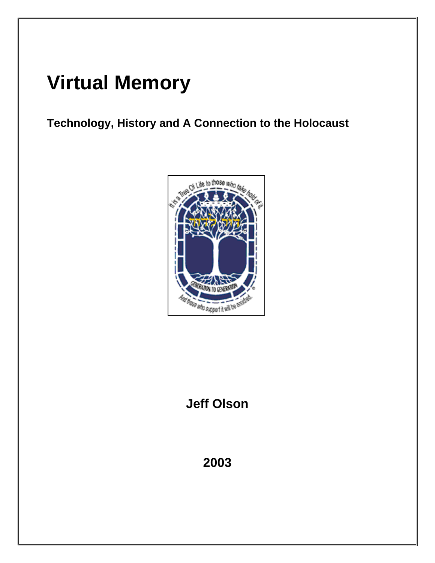# **Virtual Memory**

**Technology, History and A Connection to the Holocaust** 



# **Jeff Olson**

# **2003**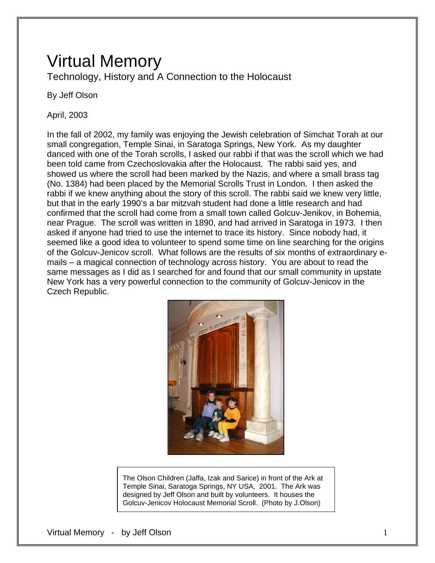# Virtual Memory

Technology, History and A Connection to the Holocaust

By Jeff Olson

April, 2003

In the fall of 2002, my family was enjoying the Jewish celebration of Simchat Torah at our small congregation, Temple Sinai, in Saratoga Springs, New York. As my daughter danced with one of the Torah scrolls, I asked our rabbi if that was the scroll which we had been told came from Czechoslovakia after the Holocaust. The rabbi said yes, and showed us where the scroll had been marked by the Nazis, and where a small brass tag (No. 1384) had been placed by the Memorial Scrolls Trust in London. I then asked the rabbi if we knew anything about the story of this scroll. The rabbi said we knew very little, but that in the early 1990's a bar mitzvah student had done a little research and had confirmed that the scroll had come from a small town called Golcuv-Jenikov, in Bohemia, near Prague. The scroll was written in 1890, and had arrived in Saratoga in 1973. I then asked if anyone had tried to use the internet to trace its history. Since nobody had, it seemed like a good idea to volunteer to spend some time on line searching for the origins of the Golcuv-Jenicov scroll. What follows are the results of six months of extraordinary emails – a magical connection of technology across history. You are about to read the same messages as I did as I searched for and found that our small community in upstate New York has a very powerful connection to the community of Golcuv-Jenicov in the Czech Republic.



The Olson Children (Jaffa, Izak and Sarice) in front of the Ark at Temple Sinai, Saratoga Springs, NY USA, 2001. The Ark was designed by Jeff Olson and built by volunteers. It houses the Golcuv-Jenicov Holocaust Memorial Scroll. (Photo by J.Olson)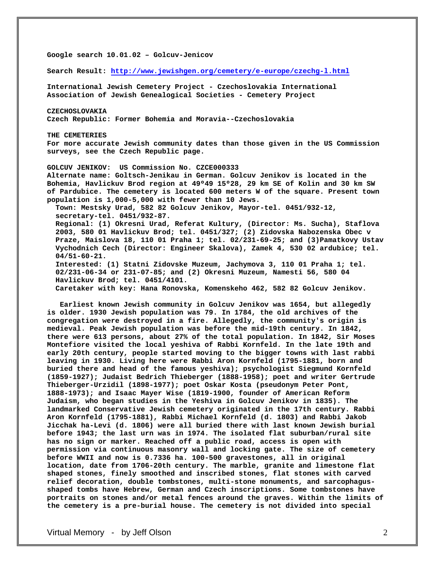**Google search 10.01.02 – Golcuv-Jenicov** 

**Search Result:<http://www.jewishgen.org/cemetery/e-europe/czechg-l.html>**

**International Jewish Cemetery Project - Czechoslovakia International Association of Jewish Genealogical Societies - Cemetery Project** 

**CZECHOSLOVAKIA Czech Republic: Former Bohemia and Moravia--Czechoslovakia** 

**THE CEMETERIES For more accurate Jewish community dates than those given in the US Commission surveys, see the Czech Republic page.** 

**GOLCUV JENIKOV: US Commission No. CZCE000333 Alternate name: Goltsch-Jenikau in German. Golcuv Jenikov is located in the Bohemia, Havlickuv Brod region at 49º49 15º28, 29 km SE of Kolin and 30 km SW of Pardubice. The cemetery is located 600 meters W of the square. Present town population is 1,000-5,000 with fewer than 10 Jews.** 

 **Town: Mestsky Urad, 582 82 Golcuv Jenikov, Mayor-tel. 0451/932-12, secretary-tel. 0451/932-87.** 

 **Regional: (1) Okresni Urad, Referat Kultury, (Director: Ms. Sucha), Staflova 2003, 580 01 Havlickuv Brod; tel. 0451/327; (2) Zidovska Nabozenska Obec v Praze, Maislova 18, 110 01 Praha 1; tel. 02/231-69-25; and (3)Pamatkovy Ustav Vychodnich Cech (Director: Engineer Skalova), Zamek 4, 530 02 ardubice; tel. 04/51-60-21. Interested: (1) Statni Zidovske Muzeum, Jachymova 3, 110 01 Praha 1; tel.** 

 **02/231-06-34 or 231-07-85; and (2) Okresni Muzeum, Namesti 56, 580 04 Havlickuv Brod; tel. 0451/4101.** 

 **Caretaker with key: Hana Ronovska, Komenskeho 462, 582 82 Golcuv Jenikov.** 

 **Earliest known Jewish community in Golcuv Jenikov was 1654, but allegedly is older. 1930 Jewish population was 79. In 1784, the old archives of the congregation were destroyed in a fire. Allegedly, the community's origin is medieval. Peak Jewish population was before the mid-19th century. In 1842, there were 613 persons, about 27% of the total population. In 1842, Sir Moses Montefiore visited the local yeshiva of Rabbi Kornfeld. In the late 19th and early 20th century, people started moving to the bigger towns with last rabbi leaving in 1930. Living here were Rabbi Aron Kornfeld (1795-1881, born and buried there and head of the famous yeshiva); psychologist Siegmund Kornfeld (1859-1927); Judaist Bedrich Thieberger (1888-1958); poet and writer Gertrude Thieberger-Urzidil (1898-1977); poet Oskar Kosta (pseudonym Peter Pont, 1888-1973); and Isaac Mayer Wise (1819-1900, founder of American Reform Judaism, who began studies in the Yeshiva in Golcuv Jenikov in 1835). The landmarked Conservative Jewish cemetery originated in the 17th century. Rabbi Aron Kornfeld (1795-1881), Rabbi Michael Kornfeld (d. 1803) and Rabbi Jakob Jicchak ha-Levi (d. 1806) were all buried there with last known Jewish burial before 1943; the last urn was in 1974. The isolated flat suburban/rural site has no sign or marker. Reached off a public road, access is open with permission via continuous masonry wall and locking gate. The size of cemetery before WWII and now is 0.7336 ha. 100-500 gravestones, all in original location, date from 1706-20th century. The marble, granite and limestone flat shaped stones, finely smoothed and inscribed stones, flat stones with carved relief decoration, double tombstones, multi-stone monuments, and sarcophagusshaped tombs have Hebrew, German and Czech inscriptions. Some tombstones have portraits on stones and/or metal fences around the graves. Within the limits of the cemetery is a pre-burial house. The cemetery is not divided into special**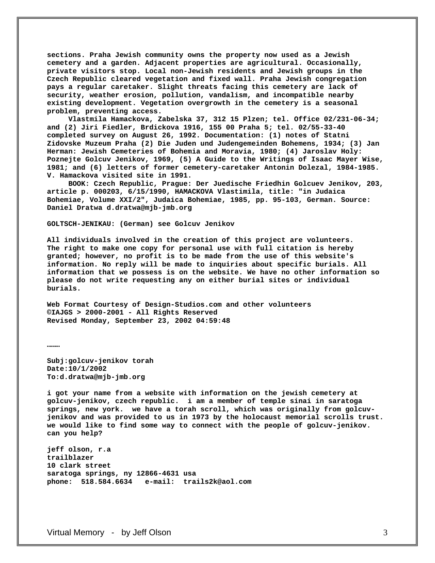**sections. Praha Jewish community owns the property now used as a Jewish cemetery and a garden. Adjacent properties are agricultural. Occasionally, private visitors stop. Local non-Jewish residents and Jewish groups in the Czech Republic cleared vegetation and fixed wall. Praha Jewish congregation pays a regular caretaker. Slight threats facing this cemetery are lack of security, weather erosion, pollution, vandalism, and incompatible nearby existing development. Vegetation overgrowth in the cemetery is a seasonal problem, preventing access.** 

 **Vlastmila Hamackova, Zabelska 37, 312 15 Plzen; tel. Office 02/231-06-34; and (2) Jiri Fiedler, Brdickova 1916, 155 00 Praha 5; tel. 02/55-33-40 completed survey on August 26, 1992. Documentation: (1) notes of Statni Zidovske Muzeum Praha (2) Die Juden und Judengemeinden Bohemens, 1934; (3) Jan Herman: Jewish Cemeteries of Bohemia and Moravia, 1980; (4) Jaroslav Holy: Poznejte Golcuv Jenikov, 1969, (5) A Guide to the Writings of Isaac Mayer Wise, 1981; and (6) letters of former cemetery-caretaker Antonin Dolezal, 1984-1985. V. Hamackova visited site in 1991.** 

 **BOOK: Czech Republic, Prague: Der Juedische Friedhin Golcuev Jenikov, 203, article p. 000203, 6/15/1990, HAMACKOVA Vlastimila, title: "in Judaica Bohemiae, Volume XXI/2", Judaica Bohemiae, 1985, pp. 95-103, German. Source: Daniel Dratwa d.dratwa@mjb-jmb.org** 

**GOLTSCH-JENIKAU: (German) see Golcuv Jenikov** 

**All individuals involved in the creation of this project are volunteers. The right to make one copy for personal use with full citation is hereby granted; however, no profit is to be made from the use of this website's information. No reply will be made to inquiries about specific burials. All information that we possess is on the website. We have no other information so please do not write requesting any on either burial sites or individual burials.** 

**Web Format Courtesy of Design-Studios.com and other volunteers ©IAJGS > 2000-2001 - All Rights Reserved Revised Monday, September 23, 2002 04:59:48** 

**………** 

**Subj:golcuv-jenikov torah Date:10/1/2002 To:d.dratwa@mjb-jmb.org** 

**i got your name from a website with information on the jewish cemetery at golcuv-jenikov, czech republic. i am a member of temple sinai in saratoga springs, new york. we have a torah scroll, which was originally from golcuvjenikov and was provided to us in 1973 by the holocaust memorial scrolls trust. we would like to find some way to connect with the people of golcuv-jenikov. can you help?** 

**jeff olson, r.a trailblazer 10 clark street saratoga springs, ny 12866-4631 usa phone: 518.584.6634 e-mail: trails2k@aol.com**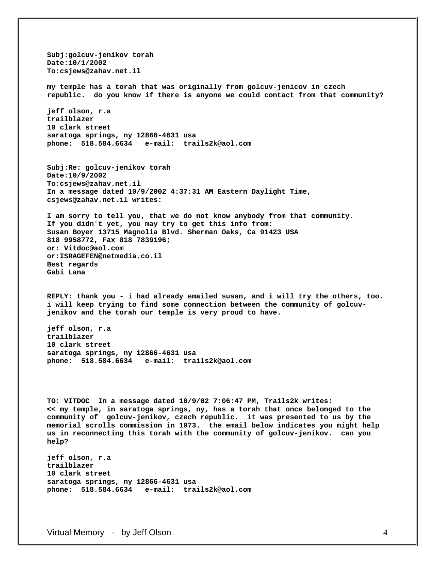**Subj:golcuv-jenikov torah Date:10/1/2002 To:csjews@zahav.net.il my temple has a torah that was originally from golcuv-jenicov in czech republic. do you know if there is anyone we could contact from that community? jeff olson, r.a trailblazer 10 clark street saratoga springs, ny 12866-4631 usa phone: 518.584.6634 e-mail: trails2k@aol.com Subj:Re: golcuv-jenikov torah Date:10/9/2002 To:csjews@zahav.net.il In a message dated 10/9/2002 4:37:31 AM Eastern Daylight Time, csjews@zahav.net.il writes: I am sorry to tell you, that we do not know anybody from that community. If you didn't yet, you may try to get this info from: Susan Boyer 13715 Magnolia Blvd. Sherman Oaks, Ca 91423 USA 818 9958772, Fax 818 7839196; or: Vitdoc@aol.com or:ISRAGEFEN@netmedia.co.il Best regards Gabi Lana REPLY: thank you - i had already emailed susan, and i will try the others, too. i will keep trying to find some connection between the community of golcuvjenikov and the torah our temple is very proud to have. jeff olson, r.a trailblazer 10 clark street saratoga springs, ny 12866-4631 usa phone: 518.584.6634 e-mail: trails2k@aol.com TO: VITDOC In a message dated 10/9/02 7:06:47 PM, Trails2k writes: << my temple, in saratoga springs, ny, has a torah that once belonged to the community of golcuv-jenikov, czech republic. it was presented to us by the memorial scrolls commission in 1973. the email below indicates you might help us in reconnecting this torah with the community of golcuv-jenikov. can you help? jeff olson, r.a trailblazer** 

**10 clark street saratoga springs, ny 12866-4631 usa phone: 518.584.6634 e-mail: trails2k@aol.com**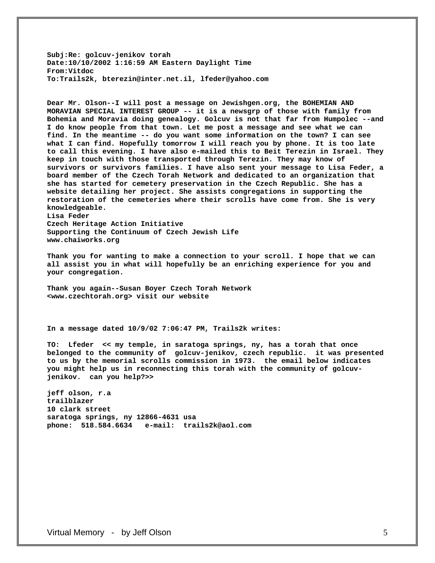**Subj:Re: golcuv-jenikov torah Date:10/10/2002 1:16:59 AM Eastern Daylight Time From:Vitdoc To:Trails2k, bterezin@inter.net.il, lfeder@yahoo.com** 

**Dear Mr. Olson--I will post a message on Jewishgen.org, the BOHEMIAN AND MORAVIAN SPECIAL INTEREST GROUP -- it is a newsgrp of those with family from Bohemia and Moravia doing genealogy. Golcuv is not that far from Humpolec --and I do know people from that town. Let me post a message and see what we can find. In the meantime -- do you want some information on the town? I can see what I can find. Hopefully tomorrow I will reach you by phone. It is too late to call this evening. I have also e-mailed this to Beit Terezin in Israel. They keep in touch with those transported through Terezin. They may know of survivors or survivors families. I have also sent your message to Lisa Feder, a board member of the Czech Torah Network and dedicated to an organization that she has started for cemetery preservation in the Czech Republic. She has a website detailing her project. She assists congregations in supporting the restoration of the cemeteries where their scrolls have come from. She is very knowledgeable. Lisa Feder Czech Heritage Action Initiative** 

**Supporting the Continuum of Czech Jewish Life www.chaiworks.org** 

**Thank you for wanting to make a connection to your scroll. I hope that we can all assist you in what will hopefully be an enriching experience for you and your congregation.** 

**Thank you again--Susan Boyer Czech Torah Network <www.czechtorah.org> visit our website** 

**In a message dated 10/9/02 7:06:47 PM, Trails2k writes:** 

**TO: Lfeder << my temple, in saratoga springs, ny, has a torah that once belonged to the community of golcuv-jenikov, czech republic. it was presented to us by the memorial scrolls commission in 1973. the email below indicates you might help us in reconnecting this torah with the community of golcuvjenikov. can you help?>>** 

**jeff olson, r.a trailblazer 10 clark street saratoga springs, ny 12866-4631 usa phone: 518.584.6634 e-mail: trails2k@aol.com**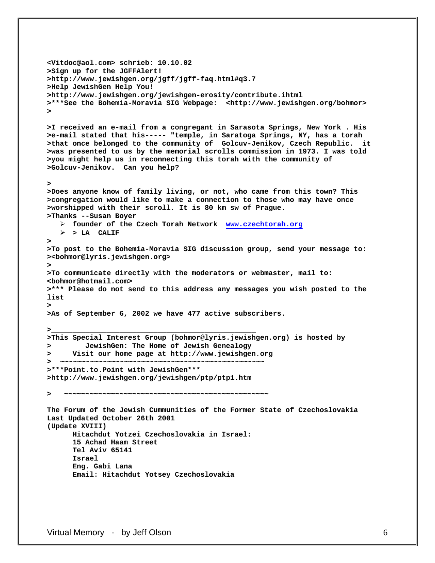```
<Vitdoc@aol.com> schrieb: 10.10.02 
>Sign up for the JGFFAlert! 
>http://www.jewishgen.org/jgff/jgff-faq.html#q3.7 
>Help JewishGen Help You! 
>http://www.jewishgen.org/jewishgen-erosity/contribute.ihtml 
>***See the Bohemia-Moravia SIG Webpage: <http://www.jewishgen.org/bohmor> 
> 
>I received an e-mail from a congregant in Sarasota Springs, New York . His 
>e-mail stated that his----- "temple, in Saratoga Springs, NY, has a torah 
>that once belonged to the community of Golcuv-Jenikov, Czech Republic. it 
>was presented to us by the memorial scrolls commission in 1973. I was told 
>you might help us in reconnecting this torah with the community of 
>Golcuv-Jenikov. Can you help? 
> 
>Does anyone know of family living, or not, who came from this town? This 
>congregation would like to make a connection to those who may have once 
>worshipped with their scroll. It is 80 km sw of Prague. 
>Thanks --Susan Boyer 
   ¾ founder of the Czech Torah Network www.czechtorah.org
   ¾ > LA CALIF 
> 
>To post to the Bohemia-Moravia SIG discussion group, send your message to: 
><bohmor@lyris.jewishgen.org> 
> 
>To communicate directly with the moderators or webmaster, mail to: 
<bohmor@hotmail.com> 
>*** Please do not send to this address any messages you wish posted to the 
list 
> 
>As of September 6, 2002 we have 477 active subscribers. 
>________________________________________________ 
>This Special Interest Group (bohmor@lyris.jewishgen.org) is hosted by 
> JewishGen: The Home of Jewish Genealogy 
> Visit our home page at http://www.jewishgen.org 
  > ~~~~~~~~~~~~~~~~~~~~~~~~~~~~~~~~~~~~~~~~~~~~~~~~ 
>***Point.to.Point with JewishGen*** 
>http://www.jewishgen.org/jewishgen/ptp/ptp1.htm 
> ~~~~~~~~~~~~~~~~~~~~~~~~~~~~~~~~~~~~~~~~~~~~~~~~ 
The Forum of the Jewish Cummunities of the Former State of Czechoslovakia 
Last Updated October 26th 2001 
(Update XVIII) 
       Hitachdut Yotzei Czechoslovakia in Israel: 
       15 Achad Haam Street 
       Tel Aviv 65141 
       Israel 
       Eng. Gabi Lana 
       Email: Hitachdut Yotsey Czechoslovakia
```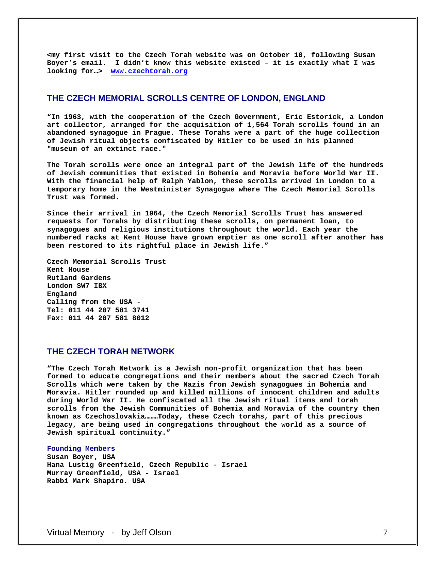**<my first visit to the Czech Torah website was on October 10, following Susan Boyer's email. I didn't know this website existed – it is exactly what I was looking for…> [www.czechtorah.org](http://www.czechtorah.org/)**

### **THE CZECH MEMORIAL SCROLLS CENTRE OF LONDON, ENGLAND**

**"In 1963, with the cooperation of the Czech Government, Eric Estorick, a London art collector, arranged for the acquisition of 1,564 Torah scrolls found in an abandoned synagogue in Prague. These Torahs were a part of the huge collection of Jewish ritual objects confiscated by Hitler to be used in his planned "museum of an extinct race."** 

**The Torah scrolls were once an integral part of the Jewish life of the hundreds of Jewish communities that existed in Bohemia and Moravia before World War II. With the financial help of Ralph Yablon, these scrolls arrived in London to a temporary home in the Westminister Synagogue where The Czech Memorial Scrolls Trust was formed.** 

**Since their arrival in 1964, the Czech Memorial Scrolls Trust has answered requests for Torahs by distributing these scrolls, on permanent loan, to synagogues and religious institutions throughout the world. Each year the numbered racks at Kent House have grown emptier as one scroll after another has been restored to its rightful place in Jewish life."** 

**Czech Memorial Scrolls Trust Kent House Rutland Gardens London SW7 IBX England Calling from the USA - Tel: 011 44 207 581 3741 Fax: 011 44 207 581 8012** 

# **THE CZECH TORAH NETWORK**

**"The Czech Torah Network is a Jewish non-profit organization that has been formed to educate congregations and their members about the sacred Czech Torah Scrolls which were taken by the Nazis from Jewish synagogues in Bohemia and Moravia. Hitler rounded up and killed millions of innocent children and adults during World War II. He confiscated all the Jewish ritual items and torah scrolls from the Jewish Communities of Bohemia and Moravia of the country then known as Czechoslovakia………Today, these Czech torahs, part of this precious legacy, are being used in congregations throughout the world as a source of Jewish spiritual continuity."** 

#### **Founding Members**

**Susan Boyer, USA Hana Lustig Greenfield, Czech Republic - Israel Murray Greenfield, USA - Israel Rabbi Mark Shapiro. USA**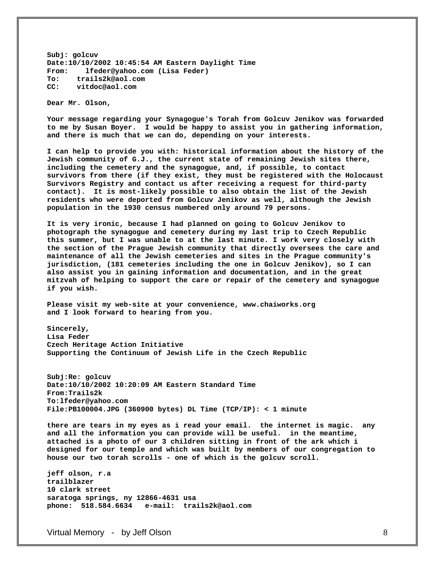**Subj: golcuv Date:10/10/2002 10:45:54 AM Eastern Daylight Time From: lfeder@yahoo.com (Lisa Feder) To: trails2k@aol.com CC: vitdoc@aol.com** 

**Dear Mr. Olson,** 

**Your message regarding your Synagogue's Torah from Golcuv Jenikov was forwarded to me by Susan Boyer. I would be happy to assist you in gathering information, and there is much that we can do, depending on your interests.** 

**I can help to provide you with: historical information about the history of the Jewish community of G.J., the current state of remaining Jewish sites there, including the cemetery and the synagogue, and, if possible, to contact survivors from there (if they exist, they must be registered with the Holocaust Survivors Registry and contact us after receiving a request for third-party contact). It is most-likely possible to also obtain the list of the Jewish residents who were deported from Golcuv Jenikov as well, although the Jewish population in the 1930 census numbered only around 79 persons.** 

**It is very ironic, because I had planned on going to Golcuv Jenikov to photograph the synagogue and cemetery during my last trip to Czech Republic this summer, but I was unable to at the last minute. I work very closely with the section of the Prague Jewish community that directly oversees the care and maintenance of all the Jewish cemeteries and sites in the Prague community's jurisdiction, (181 cemeteries including the one in Golcuv Jenikov), so I can also assist you in gaining information and documentation, and in the great mitzvah of helping to support the care or repair of the cemetery and synagogue if you wish.** 

**Please visit my web-site at your convenience, www.chaiworks.org and I look forward to hearing from you.** 

**Sincerely, Lisa Feder Czech Heritage Action Initiative Supporting the Continuum of Jewish Life in the Czech Republic** 

**Subj:Re: golcuv Date:10/10/2002 10:20:09 AM Eastern Standard Time From:Trails2k To:lfeder@yahoo.com File:PB100004.JPG (360900 bytes) DL Time (TCP/IP): < 1 minute** 

**there are tears in my eyes as i read your email. the internet is magic. any and all the information you can provide will be useful. in the meantime, attached is a photo of our 3 children sitting in front of the ark which i designed for our temple and which was built by members of our congregation to house our two torah scrolls - one of which is the golcuv scroll.** 

**jeff olson, r.a trailblazer 10 clark street saratoga springs, ny 12866-4631 usa phone: 518.584.6634 e-mail: trails2k@aol.com**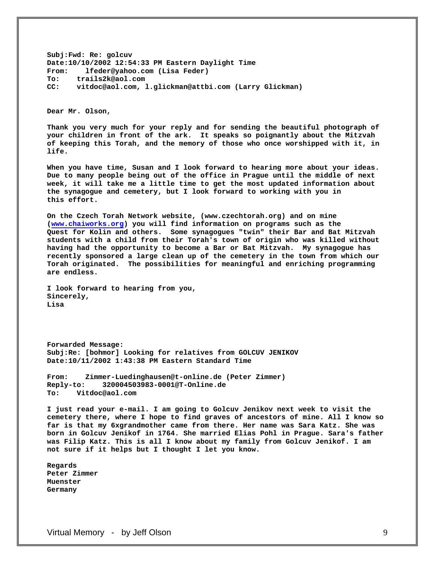**Subj:Fwd: Re: golcuv Date:10/10/2002 12:54:33 PM Eastern Daylight Time From: lfeder@yahoo.com (Lisa Feder) To: trails2k@aol.com CC: vitdoc@aol.com, l.glickman@attbi.com (Larry Glickman)** 

**Dear Mr. Olson,** 

**Thank you very much for your reply and for sending the beautiful photograph of your children in front of the ark. It speaks so poignantly about the Mitzvah of keeping this Torah, and the memory of those who once worshipped with it, in life.** 

**When you have time, Susan and I look forward to hearing more about your ideas. Due to many people being out of the office in Prague until the middle of next week, it will take me a little time to get the most updated information about the synagogue and cemetery, but I look forward to working with you in this effort.** 

**On the Czech Torah Network website, (www.czechtorah.org) and on mine [\(www.chaiworks.org](http://www.chaiworks.org/)) you will find information on programs such as the Quest for Kolin and others. Some synagogues "twin" their Bar and Bat Mitzvah students with a child from their Torah's town of origin who was killed without having had the opportunity to become a Bar or Bat Mitzvah. My synagogue has recently sponsored a large clean up of the cemetery in the town from which our Torah originated. The possibilities for meaningful and enriching programming are endless.** 

**I look forward to hearing from you, Sincerely, Lisa** 

**Forwarded Message: Subj:Re: [bohmor] Looking for relatives from GOLCUV JENIKOV Date:10/11/2002 1:43:38 PM Eastern Standard Time** 

**From: Zimmer-Luedinghausen@t-online.de (Peter Zimmer) Reply-to: 320004503983-0001@T-Online.de To: Vitdoc@aol.com** 

**I just read your e-mail. I am going to Golcuv Jenikov next week to visit the cemetery there, where I hope to find graves of ancestors of mine. All I know so far is that my 6xgrandmother came from there. Her name was Sara Katz. She was born in Golcuv Jenikof in 1764. She married Elias Pohl in Prague. Sara's father was Filip Katz. This is all I know about my family from Golcuv Jenikof. I am not sure if it helps but I thought I let you know.** 

**Regards Peter Zimmer Muenster Germany**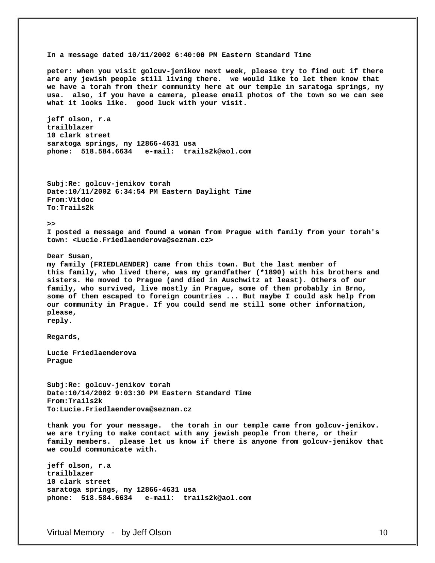**In a message dated 10/11/2002 6:40:00 PM Eastern Standard Time peter: when you visit golcuv-jenikov next week, please try to find out if there are any jewish people still living there. we would like to let them know that we have a torah from their community here at our temple in saratoga springs, ny usa. also, if you have a camera, please email photos of the town so we can see what it looks like. good luck with your visit. jeff olson, r.a trailblazer 10 clark street saratoga springs, ny 12866-4631 usa phone: 518.584.6634 e-mail: trails2k@aol.com Subj:Re: golcuv-jenikov torah Date:10/11/2002 6:34:54 PM Eastern Daylight Time From:Vitdoc To:Trails2k >> I posted a message and found a woman from Prague with family from your torah's town: <Lucie.Friedlaenderova@seznam.cz> Dear Susan, my family (FRIEDLAENDER) came from this town. But the last member of this family, who lived there, was my grandfather (\*1890) with his brothers and sisters. He moved to Prague (and died in Auschwitz at least). Others of our family, who survived, live mostly in Prague, some of them probably in Brno, some of them escaped to foreign countries ... But maybe I could ask help from our community in Prague. If you could send me still some other information, please, reply. Regards, Lucie Friedlaenderova Prague Subj:Re: golcuv-jenikov torah Date:10/14/2002 9:03:30 PM Eastern Standard Time From:Trails2k To:Lucie.Friedlaenderova@seznam.cz thank you for your message. the torah in our temple came from golcuv-jenikov. we are trying to make contact with any jewish people from there, or their family members. please let us know if there is anyone from golcuv-jenikov that we could communicate with. jeff olson, r.a trailblazer 10 clark street saratoga springs, ny 12866-4631 usa phone: 518.584.6634 e-mail: trails2k@aol.com**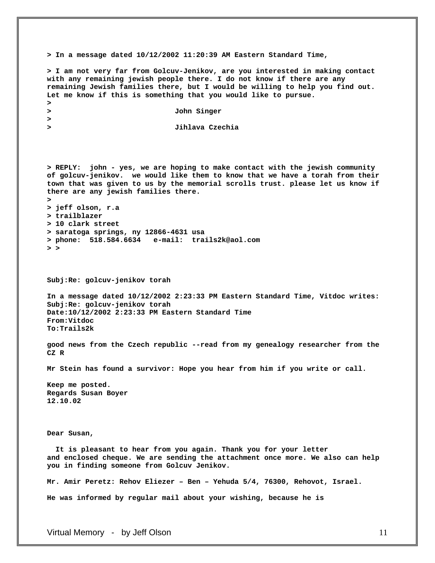**> In a message dated 10/12/2002 11:20:39 AM Eastern Standard Time, > I am not very far from Golcuv-Jenikov, are you interested in making contact with any remaining jewish people there. I do not know if there are any remaining Jewish families there, but I would be willing to help you find out. Let me know if this is something that you would like to pursue. > > John Singer > > Jihlava Czechia > REPLY: john - yes, we are hoping to make contact with the jewish community of golcuv-jenikov. we would like them to know that we have a torah from their town that was given to us by the memorial scrolls trust. please let us know if there are any jewish families there. > > jeff olson, r.a > trailblazer > 10 clark street > saratoga springs, ny 12866-4631 usa > phone: 518.584.6634 e-mail: trails2k@aol.com > > Subj:Re: golcuv-jenikov torah In a message dated 10/12/2002 2:23:33 PM Eastern Standard Time, Vitdoc writes: Subj:Re: golcuv-jenikov torah Date:10/12/2002 2:23:33 PM Eastern Standard Time From:Vitdoc To:Trails2k good news from the Czech republic --read from my genealogy researcher from the CZ R Mr Stein has found a survivor: Hope you hear from him if you write or call. Keep me posted. Regards Susan Boyer 12.10.02 Dear Susan, It is pleasant to hear from you again. Thank you for your letter and enclosed cheque. We are sending the attachment once more. We also can help you in finding someone from Golcuv Jenikov. Mr. Amir Peretz: Rehov Eliezer – Ben – Yehuda 5/4, 76300, Rehovot, Israel. He was informed by regular mail about your wishing, because he is**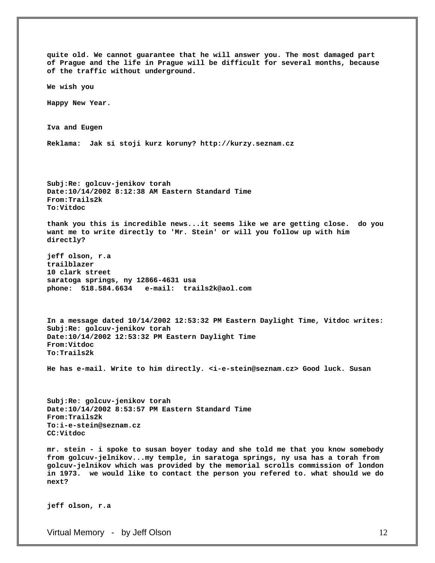**quite old. We cannot guarantee that he will answer you. The most damaged part of Prague and the life in Prague will be difficult for several months, because of the traffic without underground. We wish you Happy New Year. Iva and Eugen Reklama: Jak si stoji kurz koruny? http://kurzy.seznam.cz Subj:Re: golcuv-jenikov torah Date:10/14/2002 8:12:38 AM Eastern Standard Time From:Trails2k To:Vitdoc thank you this is incredible news...it seems like we are getting close. do you want me to write directly to 'Mr. Stein' or will you follow up with him directly? jeff olson, r.a trailblazer 10 clark street saratoga springs, ny 12866-4631 usa phone: 518.584.6634 e-mail: trails2k@aol.com In a message dated 10/14/2002 12:53:32 PM Eastern Daylight Time, Vitdoc writes: Subj:Re: golcuv-jenikov torah Date:10/14/2002 12:53:32 PM Eastern Daylight Time From:Vitdoc To:Trails2k He has e-mail. Write to him directly. <i-e-stein@seznam.cz> Good luck. Susan Subj:Re: golcuv-jenikov torah Date:10/14/2002 8:53:57 PM Eastern Standard Time From:Trails2k To:i-e-stein@seznam.cz CC:Vitdoc mr. stein - i spoke to susan boyer today and she told me that you know somebody from golcuv-jelnikov...my temple, in saratoga springs, ny usa has a torah from golcuv-jelnikov which was provided by the memorial scrolls commission of london in 1973. we would like to contact the person you refered to. what should we do next? jeff olson, r.a**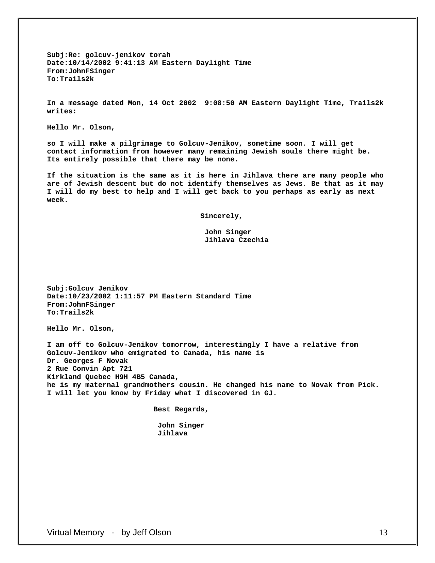**Subj:Re: golcuv-jenikov torah Date:10/14/2002 9:41:13 AM Eastern Daylight Time From:JohnFSinger To:Trails2k** 

**In a message dated Mon, 14 Oct 2002 9:08:50 AM Eastern Daylight Time, Trails2k writes:** 

**Hello Mr. Olson,** 

**so I will make a pilgrimage to Golcuv-Jenikov, sometime soon. I will get contact information from however many remaining Jewish souls there might be. Its entirely possible that there may be none.** 

**If the situation is the same as it is here in Jihlava there are many people who are of Jewish descent but do not identify themselves as Jews. Be that as it may I will do my best to help and I will get back to you perhaps as early as next week.** 

 **Sincerely,** 

 **John Singer Jihlava Czechia** 

**Subj:Golcuv Jenikov Date:10/23/2002 1:11:57 PM Eastern Standard Time From:JohnFSinger To:Trails2k** 

**Hello Mr. Olson,** 

**I am off to Golcuv-Jenikov tomorrow, interestingly I have a relative from Golcuv-Jenikov who emigrated to Canada, his name is Dr. Georges F Novak 2 Rue Convin Apt 721 Kirkland Quebec H9H 4B5 Canada, he is my maternal grandmothers cousin. He changed his name to Novak from Pick. I will let you know by Friday what I discovered in GJ.** 

 **Best Regards,** 

 **John Singer Jihlava**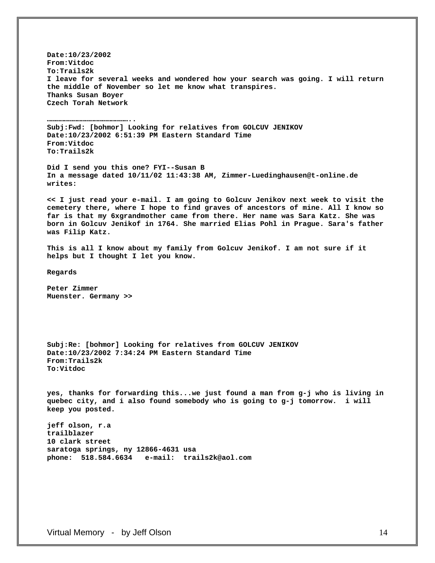**Date:10/23/2002 From:Vitdoc To:Trails2k I leave for several weeks and wondered how your search was going. I will return the middle of November so let me know what transpires. Thanks Susan Boyer Czech Torah Network** 

**Subj:Fwd: [bohmor] Looking for relatives from GOLCUV JENIKOV Date:10/23/2002 6:51:39 PM Eastern Standard Time From:Vitdoc To:Trails2k** 

**Did I send you this one? FYI--Susan B In a message dated 10/11/02 11:43:38 AM, Zimmer-Luedinghausen@t-online.de writes:** 

**<< I just read your e-mail. I am going to Golcuv Jenikov next week to visit the cemetery there, where I hope to find graves of ancestors of mine. All I know so far is that my 6xgrandmother came from there. Her name was Sara Katz. She was born in Golcuv Jenikof in 1764. She married Elias Pohl in Prague. Sara's father was Filip Katz.** 

**This is all I know about my family from Golcuv Jenikof. I am not sure if it helps but I thought I let you know.** 

**Regards** 

**Peter Zimmer Muenster. Germany >>** 

**…………………………………………………..** 

**Subj:Re: [bohmor] Looking for relatives from GOLCUV JENIKOV Date:10/23/2002 7:34:24 PM Eastern Standard Time From:Trails2k To:Vitdoc** 

**yes, thanks for forwarding this...we just found a man from g-j who is living in quebec city, and i also found somebody who is going to g-j tomorrow. i will keep you posted.** 

**jeff olson, r.a trailblazer 10 clark street saratoga springs, ny 12866-4631 usa phone: 518.584.6634 e-mail: trails2k@aol.com**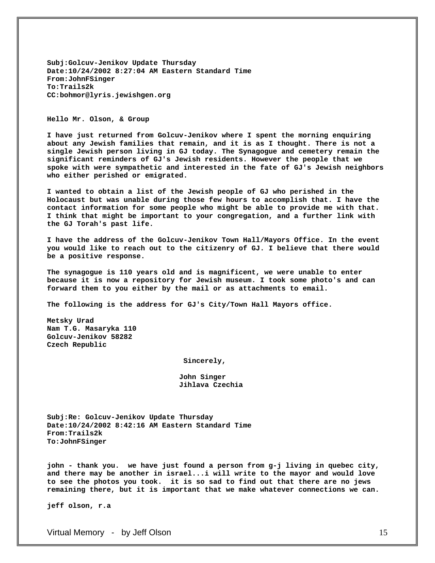**Subj:Golcuv-Jenikov Update Thursday Date:10/24/2002 8:27:04 AM Eastern Standard Time From:JohnFSinger To:Trails2k CC:bohmor@lyris.jewishgen.org** 

#### **Hello Mr. Olson, & Group**

**I have just returned from Golcuv-Jenikov where I spent the morning enquiring about any Jewish families that remain, and it is as I thought. There is not a single Jewish person living in GJ today. The Synagogue and cemetery remain the significant reminders of GJ's Jewish residents. However the people that we spoke with were sympathetic and interested in the fate of GJ's Jewish neighbors who either perished or emigrated.** 

**I wanted to obtain a list of the Jewish people of GJ who perished in the Holocaust but was unable during those few hours to accomplish that. I have the contact information for some people who might be able to provide me with that. I think that might be important to your congregation, and a further link with the GJ Torah's past life.** 

**I have the address of the Golcuv-Jenikov Town Hall/Mayors Office. In the event you would like to reach out to the citizenry of GJ. I believe that there would be a positive response.** 

**The synagogue is 110 years old and is magnificent, we were unable to enter because it is now a repository for Jewish museum. I took some photo's and can forward them to you either by the mail or as attachments to email.** 

**The following is the address for GJ's City/Town Hall Mayors office.** 

**Metsky Urad Nam T.G. Masaryka 110 Golcuv-Jenikov 58282 Czech Republic** 

 **Sincerely,** 

 **John Singer Jihlava Czechia** 

**Subj:Re: Golcuv-Jenikov Update Thursday Date:10/24/2002 8:42:16 AM Eastern Standard Time From:Trails2k To:JohnFSinger** 

**john - thank you. we have just found a person from g-j living in quebec city, and there may be another in israel...i will write to the mayor and would love to see the photos you took. it is so sad to find out that there are no jews remaining there, but it is important that we make whatever connections we can.** 

**jeff olson, r.a**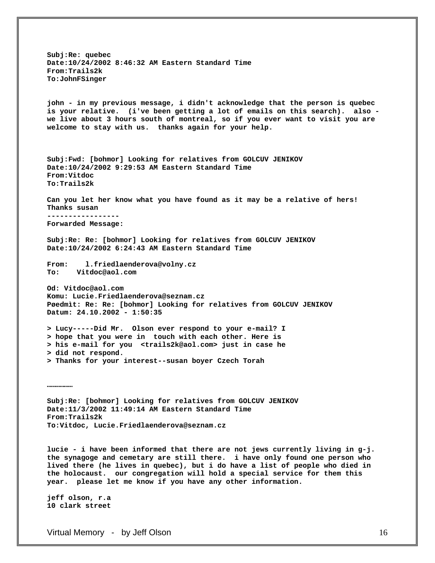**Subj:Re: quebec Date:10/24/2002 8:46:32 AM Eastern Standard Time From:Trails2k To:JohnFSinger john - in my previous message, i didn't acknowledge that the person is quebec is your relative. (i've been getting a lot of emails on this search). also we live about 3 hours south of montreal, so if you ever want to visit you are welcome to stay with us. thanks again for your help. Subj:Fwd: [bohmor] Looking for relatives from GOLCUV JENIKOV Date:10/24/2002 9:29:53 AM Eastern Standard Time From:Vitdoc To:Trails2k Can you let her know what you have found as it may be a relative of hers! Thanks susan ----------------- Forwarded Message: Subj:Re: Re: [bohmor] Looking for relatives from GOLCUV JENIKOV Date:10/24/2002 6:24:43 AM Eastern Standard Time From: l.friedlaenderova@volny.cz To: Vitdoc@aol.com Od: Vitdoc@aol.com Komu: Lucie.Friedlaenderova@seznam.cz Pøedmìt: Re: Re: [bohmor] Looking for relatives from GOLCUV JENIKOV Datum: 24.10.2002 - 1:50:35 > Lucy-----Did Mr. Olson ever respond to your e-mail? I > hope that you were in touch with each other. Here is > his e-mail for you <trails2k@aol.com> just in case he > did not respond. > Thanks for your interest--susan boyer Czech Torah ……………… Subj:Re: [bohmor] Looking for relatives from GOLCUV JENIKOV Date:11/3/2002 11:49:14 AM Eastern Standard Time From:Trails2k To:Vitdoc, Lucie.Friedlaenderova@seznam.cz lucie - i have been informed that there are not jews currently living in g-j. the synagoge and cemetary are still there. i have only found one person who lived there (he lives in quebec), but i do have a list of people who died in** 

**the holocaust. our congregation will hold a special service for them this** 

**year. please let me know if you have any other information.** 

**jeff olson, r.a 10 clark street**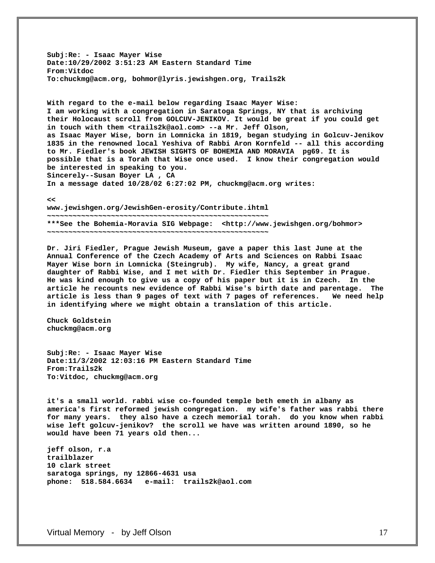**Subj:Re: - Isaac Mayer Wise Date:10/29/2002 3:51:23 AM Eastern Standard Time From:Vitdoc To:chuckmg@acm.org, bohmor@lyris.jewishgen.org, Trails2k** 

**With regard to the e-mail below regarding Isaac Mayer Wise: I am working with a congregation in Saratoga Springs, NY that is archiving their Holocaust scroll from GOLCUV-JENIKOV. It would be great if you could get in touch with them <trails2k@aol.com> --a Mr. Jeff Olson, as Isaac Mayer Wise, born in Lomnicka in 1819, began studying in Golcuv-Jenikov 1835 in the renowned local Yeshiva of Rabbi Aron Kornfeld -- all this according to Mr. Fiedler's book JEWISH SIGHTS OF BOHEMIA AND MORAVIA pg69. It is possible that is a Torah that Wise once used. I know their congregation would be interested in speaking to you. Sincerely--Susan Boyer LA , CA In a message dated 10/28/02 6:27:02 PM, chuckmg@acm.org writes:** 

**<<** 

**www.jewishgen.org/JewishGen-erosity/Contribute.ihtml ~~~~~~~~~~~~~~~~~~~~~~~~~~~~~~~~~~~~~~~~~~~~~~~~~~~~ \*\*\*See the Bohemia-Moravia SIG Webpage: <http://www.jewishgen.org/bohmor> ~~~~~~~~~~~~~~~~~~~~~~~~~~~~~~~~~~~~~~~~~~~~~~~~~~~~** 

**Dr. Jiri Fiedler, Prague Jewish Museum, gave a paper this last June at the Annual Conference of the Czech Academy of Arts and Sciences on Rabbi Isaac Mayer Wise born in Lomnicka (Steingrub). My wife, Nancy, a great grand daughter of Rabbi Wise, and I met with Dr. Fiedler this September in Prague. He was kind enough to give us a copy of his paper but it is in Czech. In the article he recounts new evidence of Rabbi Wise's birth date and parentage. The article is less than 9 pages of text with 7 pages of references. We need help in identifying where we might obtain a translation of this article.** 

**Chuck Goldstein chuckmg@acm.org** 

**Subj:Re: - Isaac Mayer Wise Date:11/3/2002 12:03:16 PM Eastern Standard Time From:Trails2k To:Vitdoc, chuckmg@acm.org** 

**it's a small world. rabbi wise co-founded temple beth emeth in albany as america's first reformed jewish congregation. my wife's father was rabbi there for many years. they also have a czech memorial torah. do you know when rabbi wise left golcuv-jenikov? the scroll we have was written around 1890, so he would have been 71 years old then...** 

**jeff olson, r.a trailblazer 10 clark street saratoga springs, ny 12866-4631 usa phone: 518.584.6634 e-mail: trails2k@aol.com**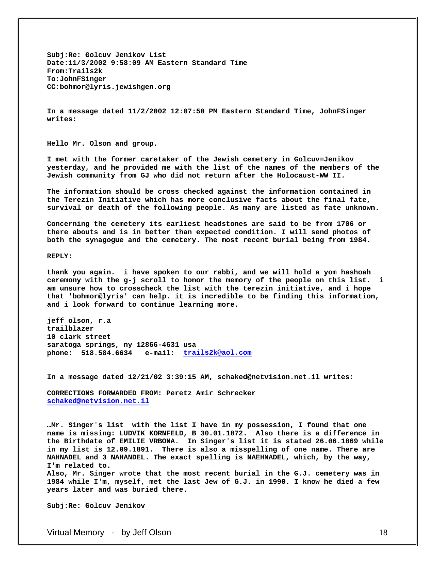**Subj:Re: Golcuv Jenikov List Date:11/3/2002 9:58:09 AM Eastern Standard Time From:Trails2k To:JohnFSinger CC:bohmor@lyris.jewishgen.org** 

**In a message dated 11/2/2002 12:07:50 PM Eastern Standard Time, JohnFSinger writes:** 

**Hello Mr. Olson and group.** 

**I met with the former caretaker of the Jewish cemetery in Golcuv=Jenikov yesterday, and he provided me with the list of the names of the members of the Jewish community from GJ who did not return after the Holocaust-WW II.** 

**The information should be cross checked against the information contained in the Terezin Initiative which has more conclusive facts about the final fate, survival or death of the following people. As many are listed as fate unknown.** 

**Concerning the cemetery its earliest headstones are said to be from 1706 or there abouts and is in better than expected condition. I will send photos of both the synagogue and the cemetery. The most recent burial being from 1984.** 

**REPLY:** 

**thank you again. i have spoken to our rabbi, and we will hold a yom hashoah ceremony with the g-j scroll to honor the memory of the people on this list. i am unsure how to crosscheck the list with the terezin initiative, and i hope that 'bohmor@lyris' can help. it is incredible to be finding this information, and i look forward to continue learning more.** 

**jeff olson, r.a trailblazer 10 clark street saratoga springs, ny 12866-4631 usa phone: 518.584.6634 e-mail: [trails2k@aol.com](mailto:trails2k@aol.com)**

**In a message dated 12/21/02 3:39:15 AM, schaked@netvision.net.il writes:** 

**CORRECTIONS FORWARDED FROM: Peretz Amir Schrecker [schaked@netvision.net.il](mailto:schaked@netvision.net.il)**

**…Mr. Singer's list with the list I have in my possession, I found that one name is missing: LUDVIK KORNFELD, B 30.01.1872. Also there is a difference in the Birthdate of EMILIE VRBONA. In Singer's list it is stated 26.06.1869 while in my list is 12.09.1891. There is also a misspelling of one name. There are NAHNADEL and 3 NAHANDEL. The exact spelling is NAEHNADEL, which, by the way, I'm related to.** 

**Also, Mr. Singer wrote that the most recent burial in the G.J. cemetery was in 1984 while I'm, myself, met the last Jew of G.J. in 1990. I know he died a few years later and was buried there.** 

**Subj:Re: Golcuv Jenikov**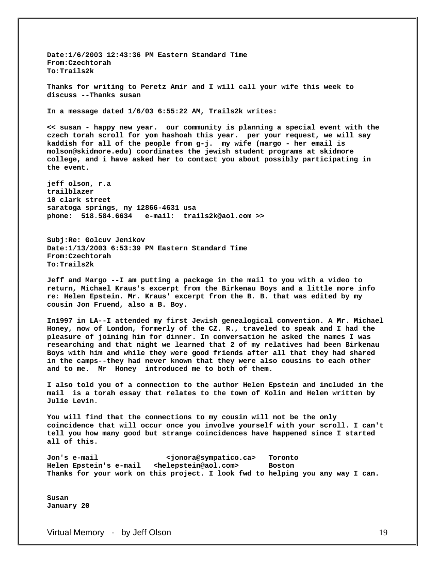**Date:1/6/2003 12:43:36 PM Eastern Standard Time From:Czechtorah To:Trails2k Thanks for writing to Peretz Amir and I will call your wife this week to discuss --Thanks susan In a message dated 1/6/03 6:55:22 AM, Trails2k writes: << susan - happy new year. our community is planning a special event with the czech torah scroll for yom hashoah this year. per your request, we will say kaddish for all of the people from g-j. my wife (margo - her email is molson@skidmore.edu) coordinates the jewish student programs at skidmore college, and i have asked her to contact you about possibly participating in the event. jeff olson, r.a trailblazer 10 clark street saratoga springs, ny 12866-4631 usa phone: 518.584.6634 e-mail: trails2k@aol.com >> Subj:Re: Golcuv Jenikov Date:1/13/2003 6:53:39 PM Eastern Standard Time From:Czechtorah To:Trails2k Jeff and Margo --I am putting a package in the mail to you with a video to return, Michael Kraus's excerpt from the Birkenau Boys and a little more info re: Helen Epstein. Mr. Kraus' excerpt from the B. B. that was edited by my cousin Jon Fruend, also a B. Boy. In1997 in LA--I attended my first Jewish genealogical convention. A Mr. Michael Honey, now of London, formerly of the CZ. R., traveled to speak and I had the** 

**pleasure of joining him for dinner. In conversation he asked the names I was researching and that night we learned that 2 of my relatives had been Birkenau Boys with him and while they were good friends after all that they had shared in the camps--they had never known that they were also cousins to each other and to me. Mr Honey introduced me to both of them.** 

**I also told you of a connection to the author Helen Epstein and included in the mail is a torah essay that relates to the town of Kolin and Helen written by Julie Levin.** 

**You will find that the connections to my cousin will not be the only coincidence that will occur once you involve yourself with your scroll. I can't tell you how many good but strange coincidences have happened since I started all of this.** 

**Jon's e-mail <jonora@sympatico.ca> Toronto Helen Epstein's e-mail <helepstein@aol.com> Boston Thanks for your work on this project. I look fwd to helping you any way I can.** 

**Susan January 20**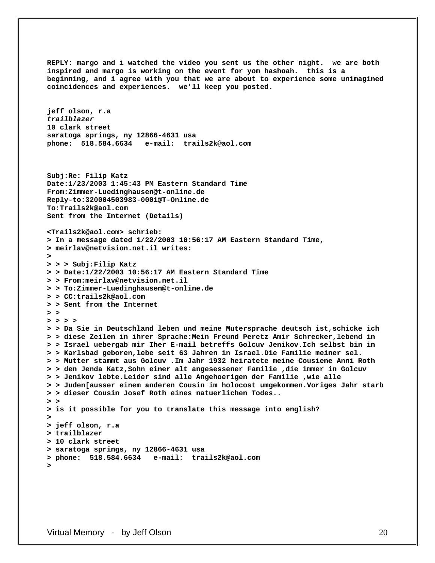**REPLY: margo and i watched the video you sent us the other night. we are both inspired and margo is working on the event for yom hashoah. this is a beginning, and i agree with you that we are about to experience some unimagined coincidences and experiences. we'll keep you posted. jeff olson, r.a**  *trailblazer* **10 clark street saratoga springs, ny 12866-4631 usa phone: 518.584.6634 e-mail: trails2k@aol.com Subj:Re: Filip Katz Date:1/23/2003 1:45:43 PM Eastern Standard Time From:Zimmer-Luedinghausen@t-online.de Reply-to:320004503983-0001@T-Online.de To:Trails2k@aol.com Sent from the Internet (Details) <Trails2k@aol.com> schrieb: > In a message dated 1/22/2003 10:56:17 AM Eastern Standard Time, > meirlav@netvision.net.il writes: > > > > Subj:Filip Katz > > Date:1/22/2003 10:56:17 AM Eastern Standard Time > > From:meirlav@netvision.net.il > > To:Zimmer-Luedinghausen@t-online.de > > CC:trails2k@aol.com > > Sent from the Internet > > > > > > > > Da Sie in Deutschland leben und meine Mutersprache deutsch ist,schicke ich > > diese Zeilen in ihrer Sprache:Mein Freund Peretz Amir Schrecker,lebend in > > Israel uebergab mir Iher E-mail betreffs Golcuv Jenikov.Ich selbst bin in > > Karlsbad geboren,lebe seit 63 Jahren in Israel.Die Familie meiner sel. > > Mutter stammt aus Golcuv .Im Jahr 1932 heiratete meine Cousiene Anni Roth > > den Jenda Katz,Sohn einer alt angesessener Familie ,die immer in Golcuv > > Jenikov lebte.Leider sind alle Angehoerigen der Familie ,wie alle > > Juden[ausser einem anderen Cousin im holocost umgekommen.Voriges Jahr starb > > dieser Cousin Josef Roth eines natuerlichen Todes.. > > > is it possible for you to translate this message into english? > > jeff olson, r.a > trailblazer > 10 clark street > saratoga springs, ny 12866-4631 usa > phone: 518.584.6634 e-mail: trails2k@aol.com >**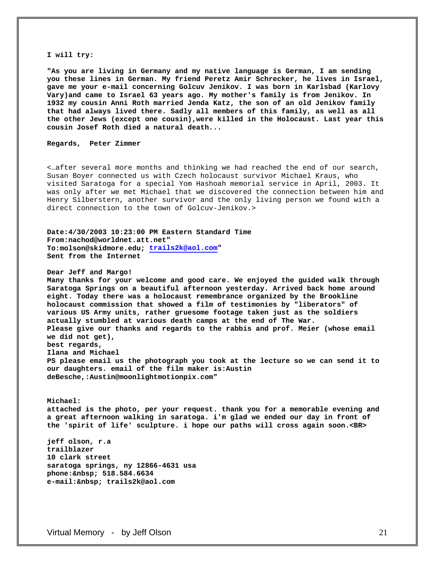#### **I will try:**

**"As you are living in Germany and my native language is German, I am sending you these lines in German. My friend Peretz Amir Schrecker, he lives in Israel, gave me your e-mail concerning Golcuv Jenikov. I was born in Karlsbad (Karlovy Vary)and came to Israel 63 years ago. My mother's family is from Jenikov. In 1932 my cousin Anni Roth married Jenda Katz, the son of an old Jenikov family that had always lived there. Sadly all members of this family, as well as all the other Jews (except one cousin),were killed in the Holocaust. Last year this cousin Josef Roth died a natural death...** 

#### **Regards, Peter Zimmer**

<…after several more months and thinking we had reached the end of our search, Susan Boyer connected us with Czech holocaust survivor Michael Kraus, who visited Saratoga for a special Yom Hashoah memorial service in April, 2003. It was only after we met Michael that we discovered the connection between him and Henry Silberstern, another survivor and the only living person we found with a direct connection to the town of Golcuv-Jenikov.>

**Date:4/30/2003 10:23:00 PM Eastern Standard Time From:nachod@worldnet.att.net" To:molson@skidmore.edu; [trails2k@aol.com](mailto:trails2k@aol.com)" Sent from the Internet** 

**Dear Jeff and Margo!** 

**Many thanks for your welcome and good care. We enjoyed the guided walk through Saratoga Springs on a beautiful afternoon yesterday. Arrived back home around eight. Today there was a holocaust remembrance organized by the Brookline holocaust commission that showed a film of testimonies by "liberators" of various US Army units, rather gruesome footage taken just as the soldiers actually stumbled at various death camps at the end of The War. Please give our thanks and regards to the rabbis and prof. Meier (whose email we did not get), best regards, Ilana and Michael PS please email us the photograph you took at the lecture so we can send it to our daughters. email of the film maker is:Austin deBesche,:Austin@moonlightmotionpix.com"** 

**Michael: attached is the photo, per your request. thank you for a memorable evening and a great afternoon walking in saratoga. i'm glad we ended our day in front of the 'spirit of life' sculpture. i hope our paths will cross again soon.<BR>** 

**jeff olson, r.a trailblazer 10 clark street saratoga springs, ny 12866-4631 usa phone: 518.584.6634 e-mail: trails2k@aol.com**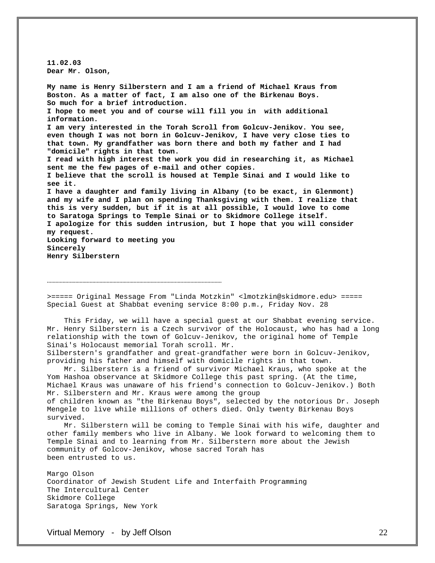**11.02.03 Dear Mr. Olson,** 

**My name is Henry Silberstern and I am a friend of Michael Kraus from Boston. As a matter of fact, I am also one of the Birkenau Boys. So much for a brief introduction. I hope to meet you and of course will fill you in with additional information. I am very interested in the Torah Scroll from Golcuv-Jenikov. You see, even though I was not born in Golcuv-Jenikov, I have very close ties to that town. My grandfather was born there and both my father and I had "domicile" rights in that town. I read with high interest the work you did in researching it, as Michael sent me the few pages of e-mail and other copies. I believe that the scroll is housed at Temple Sinai and I would like to see it. I have a daughter and family living in Albany (to be exact, in Glenmont) and my wife and I plan on spending Thanksgiving with them. I realize that this is very sudden, but if it is at all possible, I would love to come to Saratoga Springs to Temple Sinai or to Skidmore College itself. I apologize for this sudden intrusion, but I hope that you will consider my request. Looking forward to meeting you Sincerely Henry Silberstern** 

>===== Original Message From "Linda Motzkin" <lmotzkin@skidmore.edu> ===== Special Guest at Shabbat evening service 8:00 p.m., Friday Nov. 28

……………………………………………………………………………………………………………

 This Friday, we will have a special guest at our Shabbat evening service. Mr. Henry Silberstern is a Czech survivor of the Holocaust, who has had a long relationship with the town of Golcuv-Jenikov, the original home of Temple Sinai's Holocaust memorial Torah scroll. Mr. Silberstern's grandfather and great-grandfather were born in Golcuv-Jenikov, providing his father and himself with domicile rights in that town.

 Mr. Silberstern is a friend of survivor Michael Kraus, who spoke at the Yom Hashoa observance at Skidmore College this past spring. (At the time, Michael Kraus was unaware of his friend's connection to Golcuv-Jenikov.) Both Mr. Silberstern and Mr. Kraus were among the group of children known as "the Birkenau Boys", selected by the notorious Dr. Joseph Mengele to live while millions of others died. Only twenty Birkenau Boys survived.

 Mr. Silberstern will be coming to Temple Sinai with his wife, daughter and other family members who live in Albany. We look forward to welcoming them to Temple Sinai and to learning from Mr. Silberstern more about the Jewish community of Golcov-Jenikov, whose sacred Torah has been entrusted to us.

Margo Olson Coordinator of Jewish Student Life and Interfaith Programming The Intercultural Center Skidmore College Saratoga Springs, New York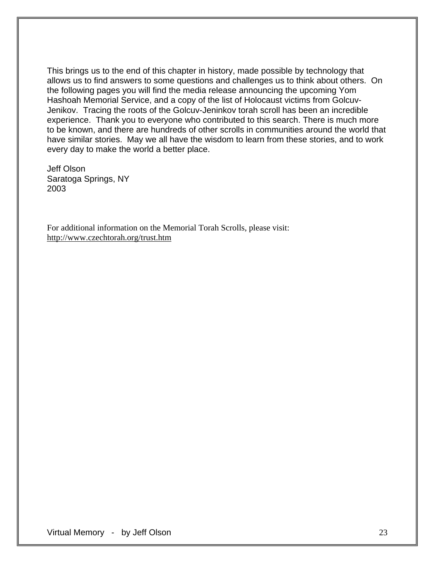This brings us to the end of this chapter in history, made possible by technology that allows us to find answers to some questions and challenges us to think about others. On the following pages you will find the media release announcing the upcoming Yom Hashoah Memorial Service, and a copy of the list of Holocaust victims from Golcuv-Jenikov. Tracing the roots of the Golcuv-Jeninkov torah scroll has been an incredible experience. Thank you to everyone who contributed to this search. There is much more to be known, and there are hundreds of other scrolls in communities around the world that have similar stories. May we all have the wisdom to learn from these stories, and to work every day to make the world a better place.

Jeff Olson Saratoga Springs, NY 2003

For additional information on the Memorial Torah Scrolls, please visit: http://www.czechtorah.org/trust.htm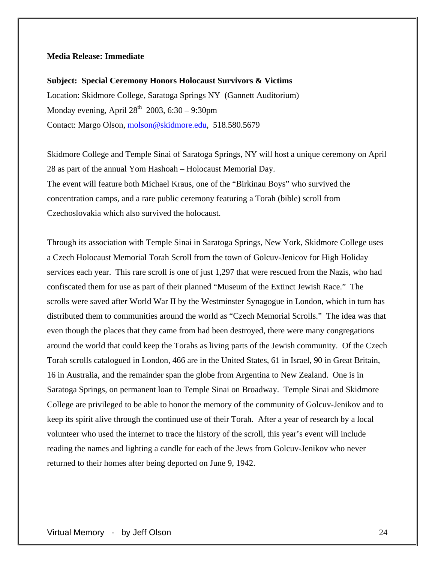# **Media Release: Immediate**

**Subject: Special Ceremony Honors Holocaust Survivors & Victims**  Location: Skidmore College, Saratoga Springs NY (Gannett Auditorium) Monday evening, April  $28<sup>th</sup>$  2003, 6:30 – 9:30pm Contact: Margo Olson, [molson@skidmore.edu,](mailto:molson@skidmore.edu) 518.580.5679

Skidmore College and Temple Sinai of Saratoga Springs, NY will host a unique ceremony on April 28 as part of the annual Yom Hashoah – Holocaust Memorial Day. The event will feature both Michael Kraus, one of the "Birkinau Boys" who survived the concentration camps, and a rare public ceremony featuring a Torah (bible) scroll from Czechoslovakia which also survived the holocaust.

Through its association with Temple Sinai in Saratoga Springs, New York, Skidmore College uses a Czech Holocaust Memorial Torah Scroll from the town of Golcuv-Jenicov for High Holiday services each year. This rare scroll is one of just 1,297 that were rescued from the Nazis, who had confiscated them for use as part of their planned "Museum of the Extinct Jewish Race." The scrolls were saved after World War II by the Westminster Synagogue in London, which in turn has distributed them to communities around the world as "Czech Memorial Scrolls." The idea was that even though the places that they came from had been destroyed, there were many congregations around the world that could keep the Torahs as living parts of the Jewish community. Of the Czech Torah scrolls catalogued in London, 466 are in the United States, 61 in Israel, 90 in Great Britain, 16 in Australia, and the remainder span the globe from Argentina to New Zealand. One is in Saratoga Springs, on permanent loan to Temple Sinai on Broadway. Temple Sinai and Skidmore College are privileged to be able to honor the memory of the community of Golcuv-Jenikov and to keep its spirit alive through the continued use of their Torah. After a year of research by a local volunteer who used the internet to trace the history of the scroll, this year's event will include reading the names and lighting a candle for each of the Jews from Golcuv-Jenikov who never returned to their homes after being deported on June 9, 1942.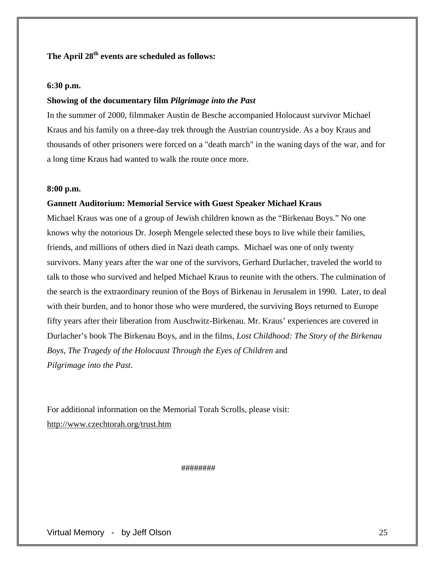# The April 28<sup>th</sup> events are scheduled as follows:

# **6:30 p.m.**

# **Showing of the documentary film** *Pilgrimage into the Past*

In the summer of 2000, filmmaker Austin de Besche accompanied Holocaust survivor Michael Kraus and his family on a three-day trek through the Austrian countryside. As a boy Kraus and thousands of other prisoners were forced on a "death march" in the waning days of the war, and for a long time Kraus had wanted to walk the route once more.

### **8:00 p.m.**

# **Gannett Auditorium: Memorial Service with Guest Speaker Michael Kraus**

Michael Kraus was one of a group of Jewish children known as the "Birkenau Boys." No one knows why the notorious Dr. Joseph Mengele selected these boys to live while their families, friends, and millions of others died in Nazi death camps. Michael was one of only twenty survivors. Many years after the war one of the survivors, Gerhard Durlacher, traveled the world to talk to those who survived and helped Michael Kraus to reunite with the others. The culmination of the search is the extraordinary reunion of the Boys of Birkenau in Jerusalem in 1990. Later, to deal with their burden, and to honor those who were murdered, the surviving Boys returned to Europe fifty years after their liberation from Auschwitz-Birkenau. Mr. Kraus' experiences are covered in Durlacher's book The Birkenau Boys, and in the films, *Lost Childhood: The Story of the Birkenau Boys*, *The Tragedy of the Holocaust Through the Eyes of Children* and *Pilgrimage into the Past*.

For additional information on the Memorial Torah Scrolls, please visit: http://www.czechtorah.org/trust.htm

########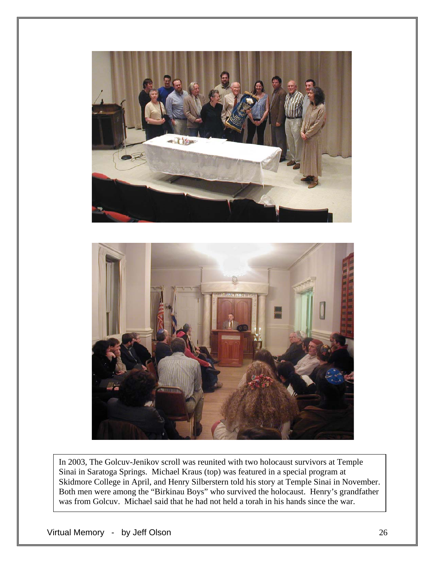



In 2003, The Golcuv-Jenikov scroll was reunited with two holocaust survivors at Temple Sinai in Saratoga Springs. Michael Kraus (top) was featured in a special program at Skidmore College in April, and Henry Silberstern told his story at Temple Sinai in November. Both men were among the "Birkinau Boys" who survived the holocaust. Henry's grandfather was from Golcuv. Michael said that he had not held a torah in his hands since the war.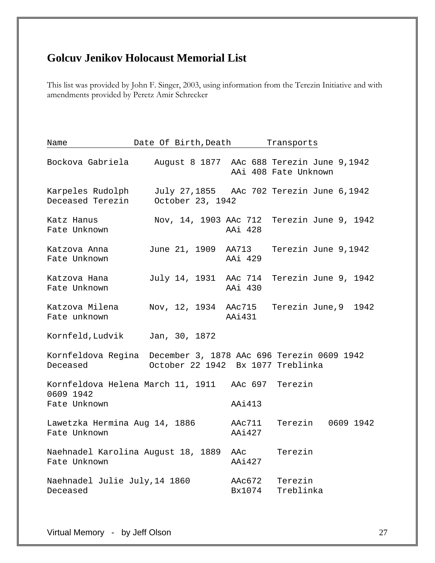# **Golcuv Jenikov Holocaust Memorial List**

This list was provided by John F. Singer, 2003, using information from the Terezin Initiative and with amendments provided by Peretz Amir Schrecker

| Name                                          | Date Of Birth, Death                              |                  | Transports                                                                         |
|-----------------------------------------------|---------------------------------------------------|------------------|------------------------------------------------------------------------------------|
|                                               |                                                   |                  | Bockova Gabriela August 8 1877 AAc 688 Terezin June 9,1942<br>AAi 408 Fate Unknown |
| Karpeles Rudolph<br>Deceased Terezin          | October 23, 1942                                  |                  | July 27,1855 AAc 702 Terezin June 6,1942                                           |
| Katz Hanus<br>Fate Unknown                    |                                                   | AAi 428          | Nov, 14, 1903 AAc 712 Terezin June 9, 1942                                         |
| Katzova Anna<br>Fate Unknown                  |                                                   | AAi 429          | June 21, 1909 AA713 Terezin June 9,1942                                            |
| Katzova Hana<br>Fate Unknown                  |                                                   | AAi 430          | July 14, 1931 AAc 714 Terezin June 9, 1942                                         |
| Katzova Milena<br>Fate unknown                |                                                   | AAi431           | Nov, 12, 1934 AAc715 Terezin June,9 1942                                           |
| Kornfeld, Ludvik Jan, 30, 1872                |                                                   |                  |                                                                                    |
| Deceased                                      | October 22 1942 Bx 1077 Treblinka                 |                  | Kornfeldova Regina December 3, 1878 AAc 696 Terezin 0609 1942                      |
| 0609 1942                                     | Kornfeldova Helena March 11, 1911 AAc 697 Terezin |                  |                                                                                    |
| Fate Unknown                                  |                                                   | AAi413           |                                                                                    |
| Lawetzka Hermina Aug 14, 1886<br>Fate Unknown |                                                   | AAc711<br>AAi427 | Terezin 0609 1942                                                                  |
| Fate Unknown                                  | Naehnadel Karolina August 18, 1889                | AAc<br>AAi427    | Terezin                                                                            |
| Naehnadel Julie July, 14 1860<br>Deceased     |                                                   | AAc672<br>Bx1074 | Terezin<br>Treblinka                                                               |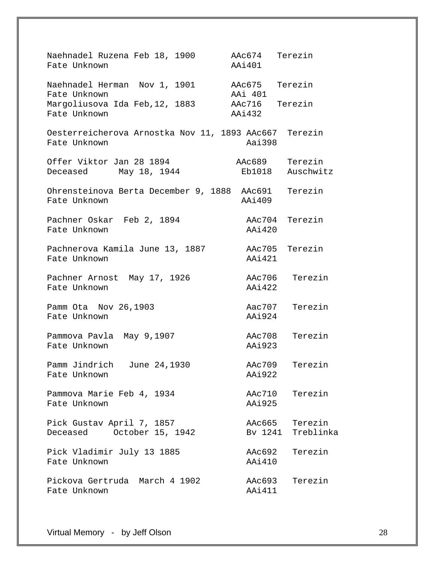Naehnadel Ruzena Feb 18, 1900 AAc674 Terezin Fate Unknown **AAi401** Naehnadel Herman Nov 1, 1901 AAc675 Terezin<br>Fate Unknown Mov 1, 1901 AAi 401 Fate Unknown AAi 401 Margoliusova Ida Feb,12, 1883 AAc716<br>Fate Unknown Aai432 Fate Unknown Oesterreicherova Arnostka Nov 11, 1893 AAc667 Terezin Fate Unknown **Aai**398 Offer Viktor Jan 28 1894 MAc689 Terezin Deceased May 18, 1944 Eb1018 Auschwitz Ohrensteinova Berta December 9, 1888 AAc691 Terezin Fate Unknown AAi409 Pachner Oskar Feb 2, 1894 AAc704 Terezin Fate Unknown **AAi420** Pachnerova Kamila June 13, 1887 AAc705 Terezin Fate Unknown **AAi421** Pachner Arnost May 17, 1926 AAc706 Terezin Fate Unknown AAi422 Pamm Ota Nov 26,1903 Aac707 Terezin Fate Unknown **AAi924** Pammova Pavla May 9,1907 Manuel AAc708 Terezin Fate Unknown **AAi923** Pamm Jindrich June 24,1930 AAc709 Terezin Fate Unknown **AAi922** Pammova Marie Feb 4, 1934 Marc710 Terezin Fate Unknown AAi925 Pick Gustav April 7, 1857 MAC665 Terezin Deceased October 15, 1942 Bv 1241 Treblinka Pick Vladimir July 13 1885 AAc692 Terezin Fate Unknown **AAi410** Pickova Gertruda March 4 1902 AAc693 Terezin Fate Unknown **AAi411**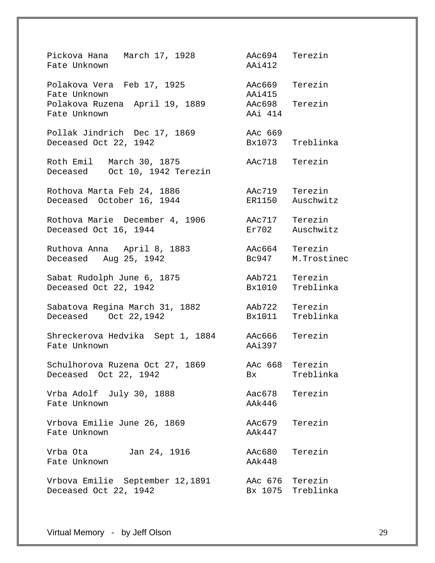Pickova Hana March 17, 1928 AAc694 Terezin Fate Unknown AAi412 Polakova Vera Feb 17, 1925 AAc669 Terezin Fate Unknown **AAi415** Polakova Ruzena April 19, 1889 AAc698 Terezin Fate Unknown **AAi** 414 Pollak Jindrich Dec 17, 1869 AAc 669 Deceased Oct 22, 1942 Bx1073 Treblinka Roth Emil March 30, 1875 AAc718 Terezin Deceased Oct 10, 1942 Terezin Rothova Marta Feb 24, 1886 AAc719 Terezin Deceased October 16, 1944 ER1150 Auschwitz Rothova Marie December 4, 1906 AAc717 Terezin<br>Deceased Oct 16, 1944 Br702 Auschwitz Deceased Oct 16, 1944 Ruthova Anna April 8, 1883 AAc664 Terezin Deceased Aug 25, 1942 Sabat Rudolph June 6, 1875 AAb721 Terezin Deceased Oct 22, 1942 Bx1010 Treblinka Sabatova Regina March 31, 1882 AAb722 Terezin Deceased Oct 22,1942 Bx1011 Treblinka Shreckerova Hedvika Sept 1, 1884 AAc666 Terezin Fate Unknown **AAi397** Schulhorova Ruzena Oct 27, 1869 AAc 668 Terezin Deceased Oct 22, 1942 Bx Treblinka Vrba Adolf July 30, 1888 Aac678 Terezin Fate Unknown AAk446 Vrbova Emilie June 26, 1869 AAc679 Terezin Fate Unknown **AAk447** Vrba Ota Jan 24, 1916 AAc680 Terezin Fate Unknown **AAk448** Vrbova Emilie September 12,1891 AAc 676 Terezin Deceased Oct 22, 1942 Bx 1075 Treblinka